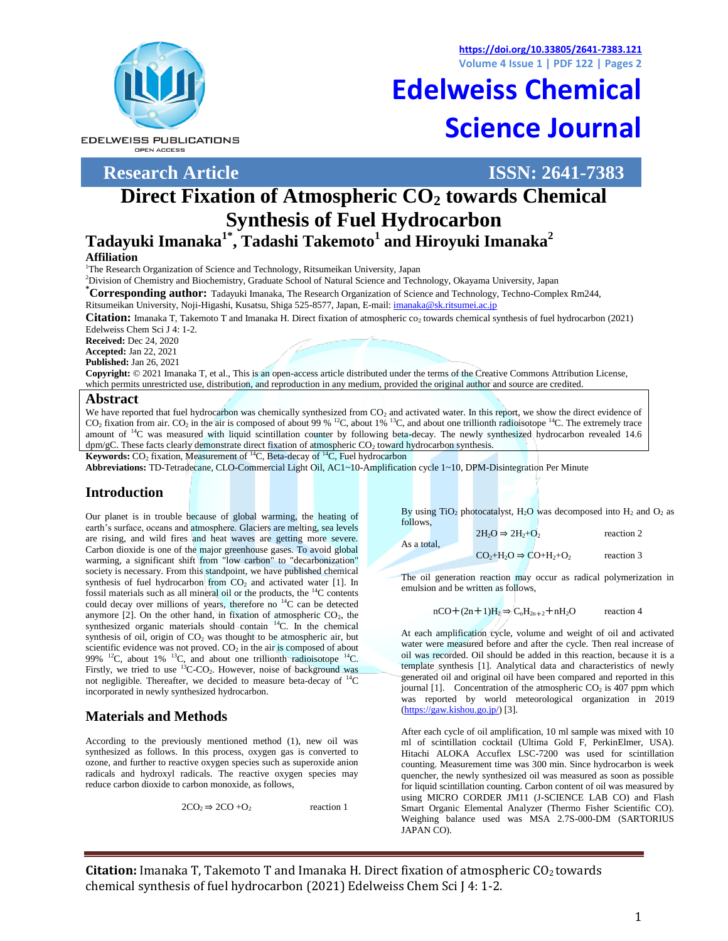At each amplification cycle, volume and weight of oil and activated water were measured before and after the cycle. Then real increase of oil was recorded. Oil should be added in this reaction, because it is a template synthesis [1]. Analytical data and characteristics of newly generated oil and original oil have been compared and reported in this journal [1]. Concentration of the atmospheric  $CO<sub>2</sub>$  is 407 ppm which was reported by world meteorological organization in 2019 [\(https://gaw.kishou.go.jp/\)](https://gaw.kishou.go.jp/) [3].

After each cycle of oil amplification, 10 ml sample was mixed with 10 ml of scintillation cocktail (Ultima Gold F, PerkinElmer, USA). Hitachi ALOKA Accuflex LSC-7200 was used for scintillation counting. Measurement time was 300 min. Since hydrocarbon is week quencher, the newly synthesized oil was measured as soon as possible for liquid scintillation counting. Carbon content of oil was measured by using MICRO CORDER JM11 (J-SCIENCE LAB CO) and Flash Smart Organic Elemental Analyzer (Thermo Fisher Scientific CO). Weighing balance used was MSA 2.7S-000-DM (SARTORIUS JAPAN CO).

**Citation:** Imanaka T, Takemoto T and Imanaka H. Direct fixation of atmospheric CO<sub>2</sub> towards chemical synthesis of fuel hydrocarbon (2021) Edelweiss Chem Sci J 4: 1-2.

#### **Introduction**

Our planet is in trouble because of global warming, the heating of earth's surface, oceans and atmosphere. Glaciers are melting, sea levels are rising, and wild fires and heat waves are getting more severe. Carbon dioxide is one of the major greenhouse gases. To avoid global warming, a significant shift from "low carbon" to "decarbonization" society is necessary. From this standpoint, we have published chemical synthesis of fuel hydrocarbon from  $CO<sub>2</sub>$  and activated water [1]. In fossil materials such as all mineral oil or the products, the <sup>14</sup>C contents could decay over millions of years, therefore no  $^{14}$ C can be detected anymore  $[2]$ . On the other hand, in fixation of atmospheric  $CO<sub>2</sub>$ , the synthesized organic materials should contain <sup>14</sup>C. In the chemical synthesis of oil, origin of  $CO<sub>2</sub>$  was thought to be atmospheric air, but scientific evidence was not proved.  $CO<sub>2</sub>$  in the air is composed of about 99%  $^{12}$ C, about 1%  $^{13}$ C, and about one trillionth radioisotope  $^{14}$ C. Firstly, we tried to use <sup>13</sup>C-CO<sub>2</sub>. However, noise of background was not negligible. Thereafter, we decided to measure beta-decay of <sup>14</sup>C

## **Materials and Methods**

According to the previously mentioned method (1), new oil was synthesized as follows. In this process, oxygen gas is converted to ozone, and further to reactive oxygen species such as superoxide anion radicals and hydroxyl radicals. The reactive oxygen species may reduce carbon dioxide to carbon monoxide, as follows,

 $2CO_2 \Rightarrow 2CO + O_2$  reaction 1

By using TiO<sub>2</sub> photocatalyst, H<sub>2</sub>O was decomposed into H<sub>2</sub> and O<sub>2</sub> as follows,

 $2H_2O \Rightarrow 2H_2+O_2$  reaction 2 As a total,  $CO<sub>2</sub>+H<sub>2</sub>O \Rightarrow CO+H<sub>2</sub>+O<sub>2</sub>$  reaction 3

The oil generation reaction may occur as radical polymerization in emulsion and be written as follows,

 $nCO+(2n+1)H_2 \Rightarrow C_nH_{2n+2}+nH_2O$  reaction 4

Edelweiss Chem Sci J 4: 1-2. **Received:** Dec 24, 2020 **Accepted:** Jan 22, 2021

**\*Corresponding author:** Tadayuki Imanaka, The Research Organization of Science and Technology, Techno-Complex Rm244,

**Tadayuki Imanaka1\* , Tadashi Takemoto<sup>1</sup> and Hiroyuki Imanaka<sup>2</sup>**

<sup>2</sup>Division of Chemistry and Biochemistry, Graduate School of Natural Science and Technology, Okayama University, Japan

Ritsumeikan University, Noji-Higashi, Kusatsu, Shiga 525-8577, Japan, E-mail[: imanaka@sk.ritsumei.ac.jp](mailto:imanaka@sk.ritsumei.ac.jp)

**Published:** Jan 26, 2021

**Copyright:** © 2021 Imanaka T, et al., This is an open-access article distributed under the terms of the Creative Commons Attribution License, which permits unrestricted use, distribution, and reproduction in any medium, provided the original author and source are credited.

**Citation:** Imanaka T, Takemoto T and Imanaka H. Direct fixation of atmospheric co<sub>2</sub> towards chemical synthesis of fuel hydrocarbon (2021)

**Direct Fixation of Atmospheric CO<sup>2</sup> towards Chemical** 

**Synthesis of Fuel Hydrocarbon**

#### **Abstract**

**Affiliation**

We have reported that fuel hydrocarbon was chemically synthesized from CO<sub>2</sub> and activated water. In this report, we show the direct evidence of  $CO<sub>2</sub>$  fixation from air.  $CO<sub>2</sub>$  in the air is composed of about 99 % <sup>12</sup>C, about 1% <sup>13</sup>C, and about one trillionth radioisotope <sup>14</sup>C. The extremely trace amount of <sup>14</sup>C was measured with liquid scintillation counter by following beta-decay. The newly synthesized hydrocarbon revealed 14.6  $dpm/gC$ . These facts clearly demonstrate direct fixation of atmospheric  $CO<sub>2</sub>$  toward hydrocarbon synthesis.

**Keywords:** CO<sub>2</sub> fixation, Measurement of <sup>14</sup>C, Beta-decay of <sup>14</sup>C, Fuel hydrocarbon

<sup>1</sup>The Research Organization of Science and Technology, Ritsumeikan University, Japan

**Abbreviations:** TD-Tetradecane, CLO-Commercial Light Oil, AC1~10-Amplification cycle 1~10, DPM-Disintegration Per Minute

incorporated in newly synthesized hydrocarbon.

**https://doi.org/10.33805/2641-7383.121**

# **Edelweiss Chemical Science Journal**

**EDELWEISS PUBLICATIONS** OPEN ACCESS



**Research Article ISSN: 2641-7383**